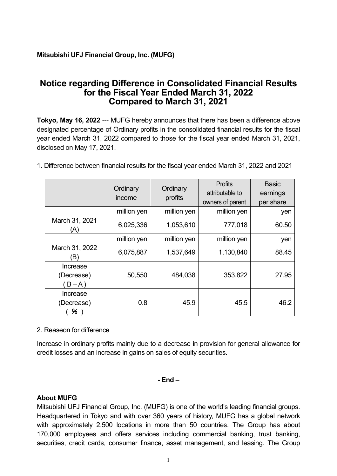# **Notice regarding Difference in Consolidated Financial Results for the Fiscal Year Ended March 31, 2022 Compared to March 31, 2021**

**Tokyo, May 16, 2022** --- MUFG hereby announces that there has been a difference above designated percentage of Ordinary profits in the consolidated financial results for the fiscal year ended March 31, 2022 compared to those for the fiscal year ended March 31, 2021, disclosed on May 17, 2021.

1. Difference between financial results for the fiscal year ended March 31, 2022 and 2021

|                                   | Ordinary<br>income | Ordinary<br>profits | <b>Profits</b><br>attributable to<br>owners of parent | <b>Basic</b><br>earnings<br>per share |
|-----------------------------------|--------------------|---------------------|-------------------------------------------------------|---------------------------------------|
|                                   | million yen        | million yen         | million yen                                           | yen                                   |
| March 31, 2021<br>(A)             | 6,025,336          | 1,053,610           | 777,018                                               | 60.50                                 |
|                                   | million yen        | million yen         | million yen                                           | yen                                   |
| March 31, 2022<br>(B)             | 6,075,887          | 1,537,649           | 1,130,840                                             | 88.45                                 |
| Increase<br>(Decrease)<br>$B - A$ | 50,550             | 484,038             | 353,822                                               | 27.95                                 |
| Increase<br>(Decrease)<br>70      | 0.8                | 45.9                | 45.5                                                  | 46.2                                  |

### 2. Reaseon for difference

Increase in ordinary profits mainly due to a decrease in provision for general allowance for credit losses and an increase in gains on sales of equity securities.

### **- End –**

### **About MUFG**

Mitsubishi UFJ Financial Group, Inc. (MUFG) is one of the world's leading financial groups. Headquartered in Tokyo and with over 360 years of history, MUFG has a global network with approximately 2,500 locations in more than 50 countries. The Group has about 170,000 employees and offers services including commercial banking, trust banking, securities, credit cards, consumer finance, asset management, and leasing. The Group